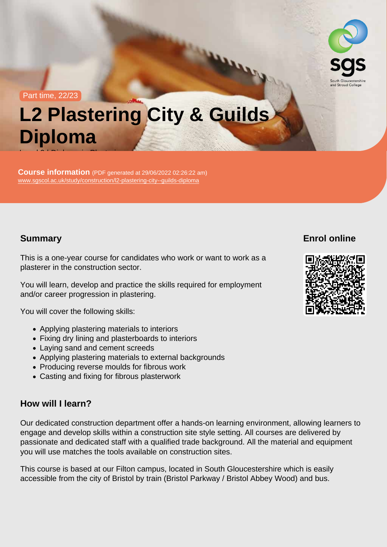#### Part time, 22/23

# L2 Plastering City & Guilds Diploma Level 2 | Diploma in Plastering

Course information (PDF generated at 29/06/2022 02:26:22 am) [www.sgscol.ac.uk/study/construction/l2-plastering-city--guilds-diploma](https://www.sgscol.ac.uk/study/construction/l2-plastering-city--guilds-diploma)

### Summary

## Enrol online

This is a one-year course for candidates who work or want to work as a plasterer in the construction sector.

You will learn, develop and practice the skills required for employment and/or career progression in plastering.

You will cover the following skills:

- Applying plastering materials to interiors
- Fixing dry lining and plasterboards to interiors
- Laying sand and cement screeds
- Applying plastering materials to external backgrounds
- Producing reverse moulds for fibrous work
- Casting and fixing for fibrous plasterwork

#### How will I learn?

Our dedicated construction department offer a hands-on learning environment, allowing learners to engage and develop skills within a construction site style setting. All courses are delivered by passionate and dedicated staff with a qualified trade background. All the material and equipment you will use matches the tools available on construction sites.

This course is based at our Filton campus, located in South Gloucestershire which is easily accessible from the city of Bristol by train (Bristol Parkway / Bristol Abbey Wood) and bus.